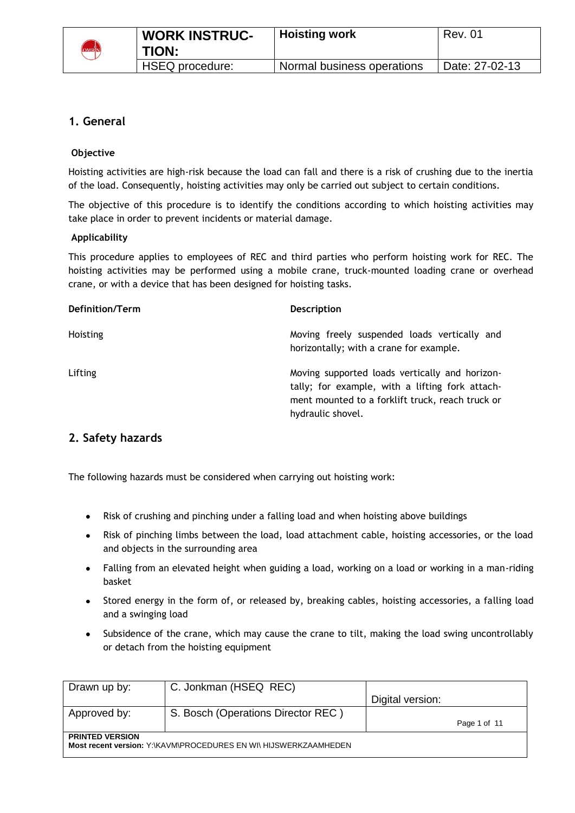

# **1. General**

## **Objective**

Hoisting activities are high-risk because the load can fall and there is a risk of crushing due to the inertia of the load. Consequently, hoisting activities may only be carried out subject to certain conditions.

The objective of this procedure is to identify the conditions according to which hoisting activities may take place in order to prevent incidents or material damage.

### **Applicability**

This procedure applies to employees of REC and third parties who perform hoisting work for REC. The hoisting activities may be performed using a mobile crane, truck-mounted loading crane or overhead crane, or with a device that has been designed for hoisting tasks.

| Definition/Term | <b>Description</b>                                                                                                                                                         |
|-----------------|----------------------------------------------------------------------------------------------------------------------------------------------------------------------------|
| Hoisting        | Moving freely suspended loads vertically and<br>horizontally; with a crane for example.                                                                                    |
| Lifting         | Moving supported loads vertically and horizon-<br>tally; for example, with a lifting fork attach-<br>ment mounted to a forklift truck, reach truck or<br>hydraulic shovel. |

# **2. Safety hazards**

The following hazards must be considered when carrying out hoisting work:

- Risk of crushing and pinching under a falling load and when hoisting above buildings
- Risk of pinching limbs between the load, load attachment cable, hoisting accessories, or the load and objects in the surrounding area
- Falling from an elevated height when guiding a load, working on a load or working in a man-riding basket
- Stored energy in the form of, or released by, breaking cables, hoisting accessories, a falling load and a swinging load
- Subsidence of the crane, which may cause the crane to tilt, making the load swing uncontrollably or detach from the hoisting equipment

| Drawn up by:           | C. Jonkman (HSEQ REC)                                            | Digital version: |  |
|------------------------|------------------------------------------------------------------|------------------|--|
| Approved by:           | S. Bosch (Operations Director REC)                               | Page 1 of 11     |  |
| <b>PRINTED VERSION</b> | Most recent version: Y:\KAVM\PROCEDURES EN WI\ HIJSWERKZAAMHEDEN |                  |  |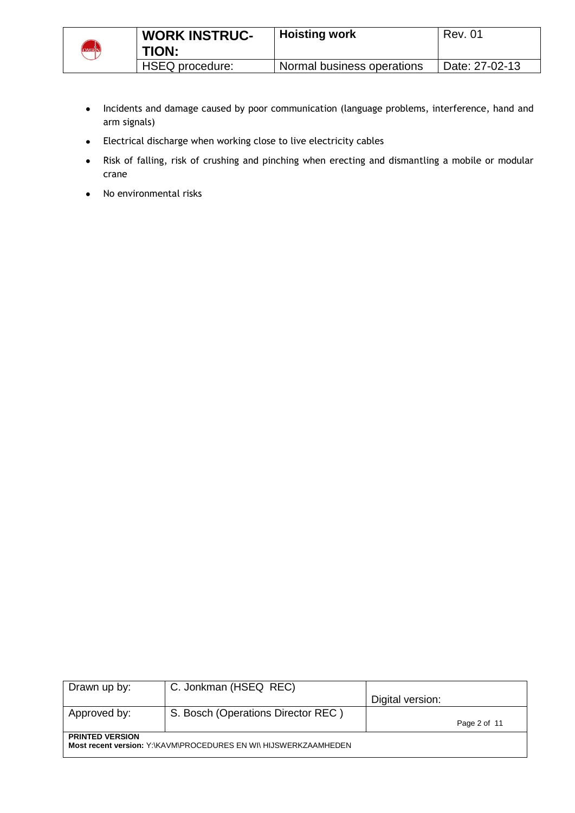

- Incidents and damage caused by poor communication (language problems, interference, hand and  $\bullet$ arm signals)
- Electrical discharge when working close to live electricity cables
- Risk of falling, risk of crushing and pinching when erecting and dismantling a mobile or modular  $\bullet$ crane
- No environmental risks  $\bullet$

| Drawn up by:           | C. Jonkman (HSEQ REC)                                            |                  |              |
|------------------------|------------------------------------------------------------------|------------------|--------------|
|                        |                                                                  | Digital version: |              |
| Approved by:           | S. Bosch (Operations Director REC)                               |                  |              |
|                        |                                                                  |                  | Page 2 of 11 |
| <b>PRINTED VERSION</b> | Most recent version: Y:\KAVM\PROCEDURES EN WI\ HIJSWERKZAAMHEDEN |                  |              |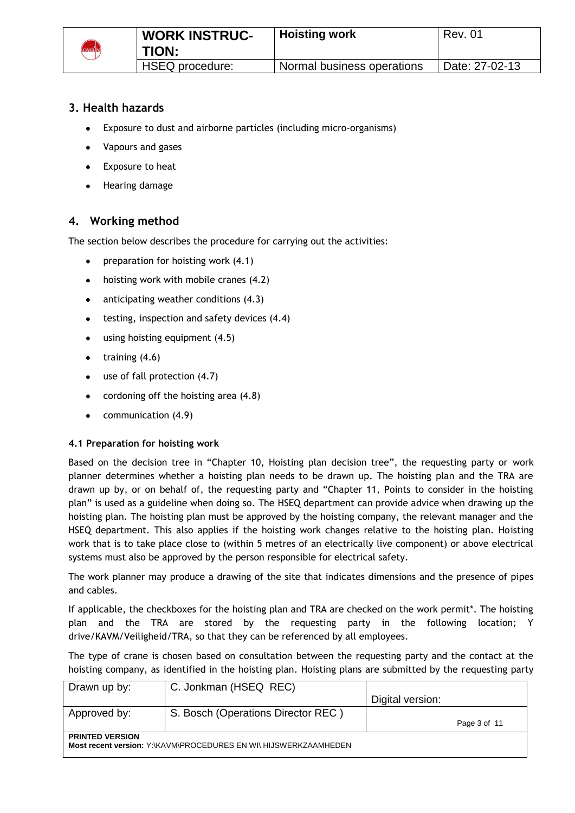

# **3. Health hazards**

- Exposure to dust and airborne particles (including micro-organisms)  $\bullet$
- Vapours and gases  $\bullet$
- Exposure to heat  $\bullet$
- Hearing damage

# **4. Working method**

The section below describes the procedure for carrying out the activities:

- preparation for hoisting work (4.1)  $\bullet$
- hoisting work with mobile cranes (4.2)  $\bullet$
- anticipating weather conditions (4.3)  $\bullet$
- testing, inspection and safety devices (4.4)  $\bullet$
- using hoisting equipment (4.5)
- training (4.6)  $\bullet$
- use of fall protection (4.7)  $\bullet$
- cordoning off the hoisting area (4.8)  $\bullet$
- $\bullet$ communication (4.9)

### **4.1 Preparation for hoisting work**

Based on the decision tree in "Chapter 10, Hoisting plan decision tree", the requesting party or work planner determines whether a hoisting plan needs to be drawn up. The hoisting plan and the TRA are drawn up by, or on behalf of, the requesting party and "Chapter 11, Points to consider in the hoisting plan" is used as a guideline when doing so. The HSEQ department can provide advice when drawing up the hoisting plan. The hoisting plan must be approved by the hoisting company, the relevant manager and the HSEQ department. This also applies if the hoisting work changes relative to the hoisting plan. Hoisting work that is to take place close to (within 5 metres of an electrically live component) or above electrical systems must also be approved by the person responsible for electrical safety.

The work planner may produce a drawing of the site that indicates dimensions and the presence of pipes and cables.

If applicable, the checkboxes for the hoisting plan and TRA are checked on the work permit\*. The hoisting plan and the TRA are stored by the requesting party in the following location; Y drive/KAVM/Veiligheid/TRA, so that they can be referenced by all employees.

The type of crane is chosen based on consultation between the requesting party and the contact at the hoisting company, as identified in the hoisting plan. Hoisting plans are submitted by the requesting party

| Drawn up by:           | C. Jonkman (HSEQ REC)                                            | Digital version: |              |
|------------------------|------------------------------------------------------------------|------------------|--------------|
| Approved by:           | S. Bosch (Operations Director REC)                               |                  | Page 3 of 11 |
| <b>PRINTED VERSION</b> | Most recent version: Y:\KAVM\PROCEDURES EN WI\ HIJSWERKZAAMHEDEN |                  |              |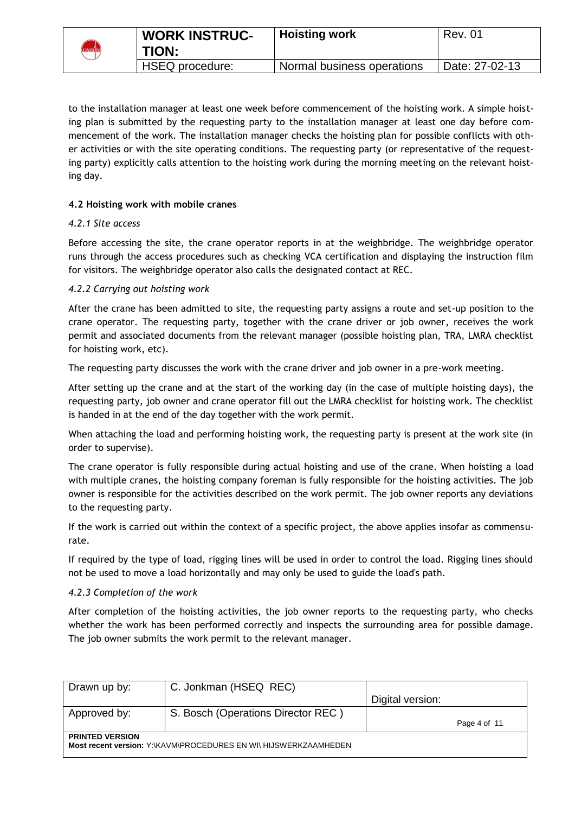

to the installation manager at least one week before commencement of the hoisting work. A simple hoisting plan is submitted by the requesting party to the installation manager at least one day before commencement of the work. The installation manager checks the hoisting plan for possible conflicts with other activities or with the site operating conditions. The requesting party (or representative of the requesting party) explicitly calls attention to the hoisting work during the morning meeting on the relevant hoisting day.

## **4.2 Hoisting work with mobile cranes**

### *4.2.1 Site access*

Before accessing the site, the crane operator reports in at the weighbridge. The weighbridge operator runs through the access procedures such as checking VCA certification and displaying the instruction film for visitors. The weighbridge operator also calls the designated contact at REC.

### *4.2.2 Carrying out hoisting work*

After the crane has been admitted to site, the requesting party assigns a route and set-up position to the crane operator. The requesting party, together with the crane driver or job owner, receives the work permit and associated documents from the relevant manager (possible hoisting plan, TRA, LMRA checklist for hoisting work, etc).

The requesting party discusses the work with the crane driver and job owner in a pre-work meeting.

After setting up the crane and at the start of the working day (in the case of multiple hoisting days), the requesting party, job owner and crane operator fill out the LMRA checklist for hoisting work. The checklist is handed in at the end of the day together with the work permit.

When attaching the load and performing hoisting work, the requesting party is present at the work site (in order to supervise).

The crane operator is fully responsible during actual hoisting and use of the crane. When hoisting a load with multiple cranes, the hoisting company foreman is fully responsible for the hoisting activities. The job owner is responsible for the activities described on the work permit. The job owner reports any deviations to the requesting party.

If the work is carried out within the context of a specific project, the above applies insofar as commensurate.

If required by the type of load, rigging lines will be used in order to control the load. Rigging lines should not be used to move a load horizontally and may only be used to guide the load's path.

### *4.2.3 Completion of the work*

After completion of the hoisting activities, the job owner reports to the requesting party, who checks whether the work has been performed correctly and inspects the surrounding area for possible damage. The job owner submits the work permit to the relevant manager.

| Drawn up by:                                                                               | C. Jonkman (HSEQ REC)              | Digital version: |              |
|--------------------------------------------------------------------------------------------|------------------------------------|------------------|--------------|
| Approved by:                                                                               | S. Bosch (Operations Director REC) |                  | Page 4 of 11 |
| <b>PRINTED VERSION</b><br>Most recent version: Y:\KAVM\PROCEDURES EN WI\ HIJSWERKZAAMHEDEN |                                    |                  |              |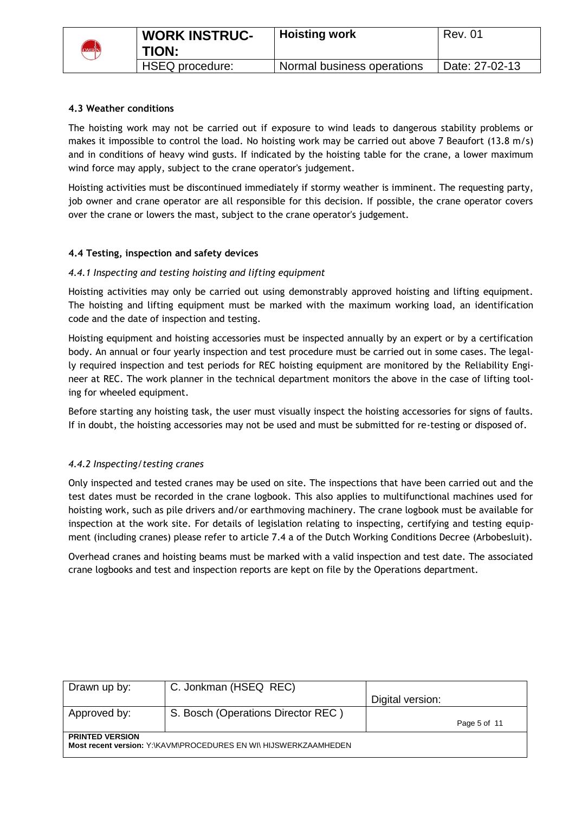

### **4.3 Weather conditions**

The hoisting work may not be carried out if exposure to wind leads to dangerous stability problems or makes it impossible to control the load. No hoisting work may be carried out above 7 Beaufort (13.8 m/s) and in conditions of heavy wind gusts. If indicated by the hoisting table for the crane, a lower maximum wind force may apply, subject to the crane operator's judgement.

Hoisting activities must be discontinued immediately if stormy weather is imminent. The requesting party, job owner and crane operator are all responsible for this decision. If possible, the crane operator covers over the crane or lowers the mast, subject to the crane operator's judgement.

### **4.4 Testing, inspection and safety devices**

### *4.4.1 Inspecting and testing hoisting and lifting equipment*

Hoisting activities may only be carried out using demonstrably approved hoisting and lifting equipment. The hoisting and lifting equipment must be marked with the maximum working load, an identification code and the date of inspection and testing.

Hoisting equipment and hoisting accessories must be inspected annually by an expert or by a certification body. An annual or four yearly inspection and test procedure must be carried out in some cases. The legally required inspection and test periods for REC hoisting equipment are monitored by the Reliability Engineer at REC. The work planner in the technical department monitors the above in the case of lifting tooling for wheeled equipment.

Before starting any hoisting task, the user must visually inspect the hoisting accessories for signs of faults. If in doubt, the hoisting accessories may not be used and must be submitted for re-testing or disposed of.

### *4.4.2 Inspecting/testing cranes*

Only inspected and tested cranes may be used on site. The inspections that have been carried out and the test dates must be recorded in the crane logbook. This also applies to multifunctional machines used for hoisting work, such as pile drivers and/or earthmoving machinery. The crane logbook must be available for inspection at the work site. For details of legislation relating to inspecting, certifying and testing equipment (including cranes) please refer to article 7.4 a of the Dutch Working Conditions Decree (Arbobesluit).

Overhead cranes and hoisting beams must be marked with a valid inspection and test date. The associated crane logbooks and test and inspection reports are kept on file by the Operations department.

| Drawn up by:           | C. Jonkman (HSEQ REC)                                            |                  |              |
|------------------------|------------------------------------------------------------------|------------------|--------------|
|                        |                                                                  | Digital version: |              |
| Approved by:           | S. Bosch (Operations Director REC)                               |                  |              |
|                        |                                                                  |                  | Page 5 of 11 |
| <b>PRINTED VERSION</b> |                                                                  |                  |              |
|                        | Most recent version: Y:\KAVM\PROCEDURES EN WI\ HIJSWERKZAAMHEDEN |                  |              |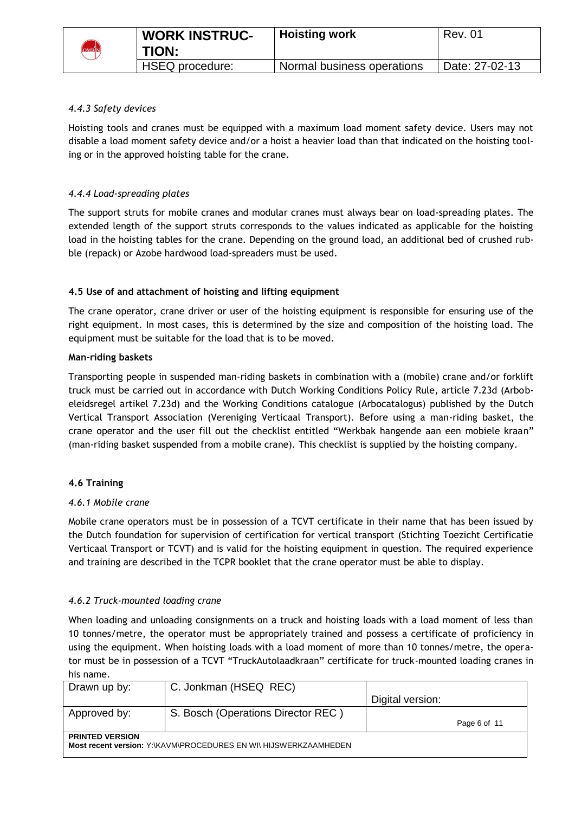

## *4.4.3 Safety devices*

Hoisting tools and cranes must be equipped with a maximum load moment safety device. Users may not disable a load moment safety device and/or a hoist a heavier load than that indicated on the hoisting tooling or in the approved hoisting table for the crane.

### *4.4.4 Load-spreading plates*

The support struts for mobile cranes and modular cranes must always bear on load-spreading plates. The extended length of the support struts corresponds to the values indicated as applicable for the hoisting load in the hoisting tables for the crane. Depending on the ground load, an additional bed of crushed rubble (repack) or Azobe hardwood load-spreaders must be used.

### **4.5 Use of and attachment of hoisting and lifting equipment**

The crane operator, crane driver or user of the hoisting equipment is responsible for ensuring use of the right equipment. In most cases, this is determined by the size and composition of the hoisting load. The equipment must be suitable for the load that is to be moved.

### **Man-riding baskets**

Transporting people in suspended man-riding baskets in combination with a (mobile) crane and/or forklift truck must be carried out in accordance with Dutch Working Conditions Policy Rule, article 7.23d (Arbobeleidsregel artikel 7.23d) and the Working Conditions catalogue (Arbocatalogus) published by the Dutch Vertical Transport Association (Vereniging Verticaal Transport). Before using a man-riding basket, the crane operator and the user fill out the checklist entitled "Werkbak hangende aan een mobiele kraan" (man-riding basket suspended from a mobile crane). This checklist is supplied by the hoisting company.

## **4.6 Training**

### *4.6.1 Mobile crane*

Mobile crane operators must be in possession of a TCVT certificate in their name that has been issued by the Dutch foundation for supervision of certification for vertical transport (Stichting Toezicht Certificatie Verticaal Transport or TCVT) and is valid for the hoisting equipment in question. The required experience and training are described in the TCPR booklet that the crane operator must be able to display.

### *4.6.2 Truck-mounted loading crane*

When loading and unloading consignments on a truck and hoisting loads with a load moment of less than 10 tonnes/metre, the operator must be appropriately trained and possess a certificate of proficiency in using the equipment. When hoisting loads with a load moment of more than 10 tonnes/metre, the operator must be in possession of a TCVT "TruckAutolaadkraan" certificate for truck-mounted loading cranes in his name.

| Drawn up by:           | C. Jonkman (HSEQ REC)                                            | Digital version: |              |
|------------------------|------------------------------------------------------------------|------------------|--------------|
| Approved by:           | S. Bosch (Operations Director REC)                               |                  | Page 6 of 11 |
| <b>PRINTED VERSION</b> | Most recent version: Y:\KAVM\PROCEDURES EN WI\ HIJSWERKZAAMHEDEN |                  |              |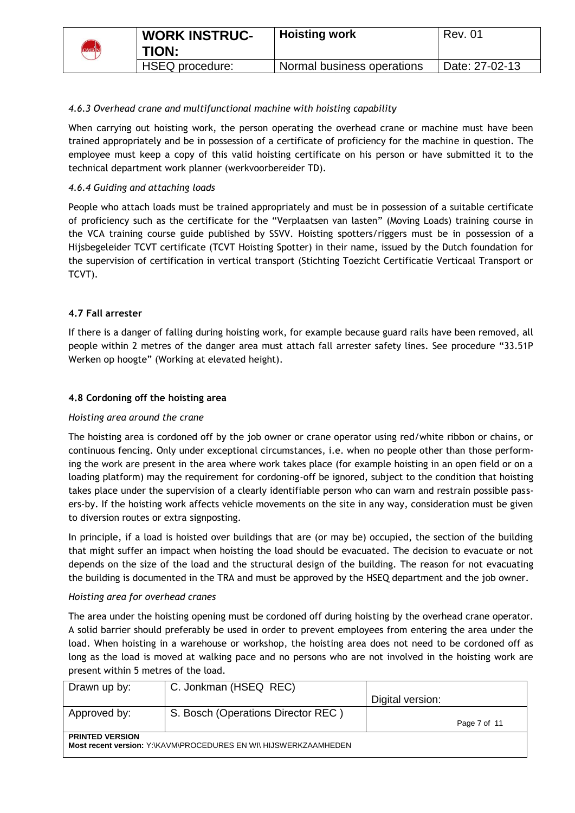

# *4.6.3 Overhead crane and multifunctional machine with hoisting capability*

When carrying out hoisting work, the person operating the overhead crane or machine must have been trained appropriately and be in possession of a certificate of proficiency for the machine in question. The employee must keep a copy of this valid hoisting certificate on his person or have submitted it to the technical department work planner (werkvoorbereider TD).

### *4.6.4 Guiding and attaching loads*

People who attach loads must be trained appropriately and must be in possession of a suitable certificate of proficiency such as the certificate for the "Verplaatsen van lasten" (Moving Loads) training course in the VCA training course guide published by SSVV. Hoisting spotters/riggers must be in possession of a Hijsbegeleider TCVT certificate (TCVT Hoisting Spotter) in their name, issued by the Dutch foundation for the supervision of certification in vertical transport (Stichting Toezicht Certificatie Verticaal Transport or TCVT).

## **4.7 Fall arrester**

If there is a danger of falling during hoisting work, for example because guard rails have been removed, all people within 2 metres of the danger area must attach fall arrester safety lines. See procedure "33.51P Werken op hoogte" (Working at elevated height).

### **4.8 Cordoning off the hoisting area**

### *Hoisting area around the crane*

The hoisting area is cordoned off by the job owner or crane operator using red/white ribbon or chains, or continuous fencing. Only under exceptional circumstances, i.e. when no people other than those performing the work are present in the area where work takes place (for example hoisting in an open field or on a loading platform) may the requirement for cordoning-off be ignored, subject to the condition that hoisting takes place under the supervision of a clearly identifiable person who can warn and restrain possible passers-by. If the hoisting work affects vehicle movements on the site in any way, consideration must be given to diversion routes or extra signposting.

In principle, if a load is hoisted over buildings that are (or may be) occupied, the section of the building that might suffer an impact when hoisting the load should be evacuated. The decision to evacuate or not depends on the size of the load and the structural design of the building. The reason for not evacuating the building is documented in the TRA and must be approved by the HSEQ department and the job owner.

### *Hoisting area for overhead cranes*

The area under the hoisting opening must be cordoned off during hoisting by the overhead crane operator. A solid barrier should preferably be used in order to prevent employees from entering the area under the load. When hoisting in a warehouse or workshop, the hoisting area does not need to be cordoned off as long as the load is moved at walking pace and no persons who are not involved in the hoisting work are present within 5 metres of the load.

| Drawn up by:           | C. Jonkman (HSEQ REC)                                            |                  |              |
|------------------------|------------------------------------------------------------------|------------------|--------------|
|                        |                                                                  | Digital version: |              |
| Approved by:           | S. Bosch (Operations Director REC)                               |                  |              |
|                        |                                                                  |                  | Page 7 of 11 |
| <b>PRINTED VERSION</b> |                                                                  |                  |              |
|                        | Most recent version: Y:\KAVM\PROCEDURES EN WI\ HIJSWERKZAAMHEDEN |                  |              |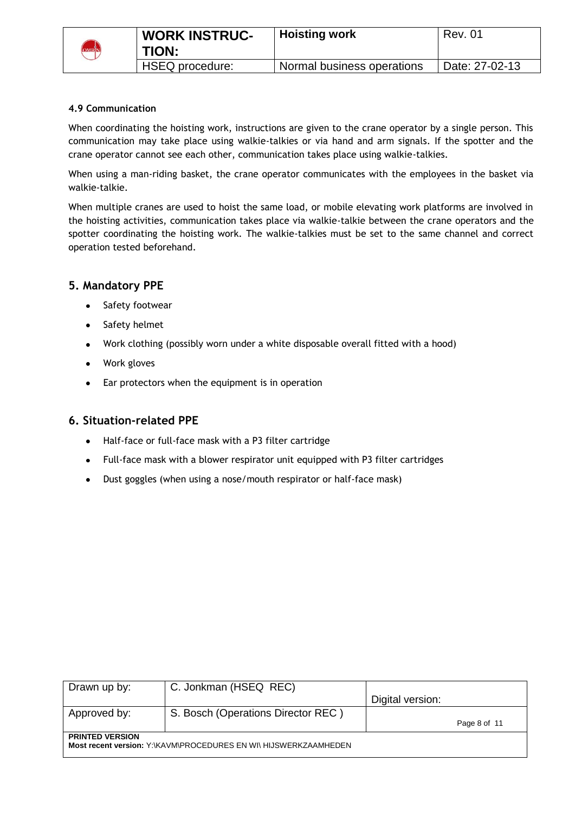

## **4.9 Communication**

When coordinating the hoisting work, instructions are given to the crane operator by a single person. This communication may take place using walkie-talkies or via hand and arm signals. If the spotter and the crane operator cannot see each other, communication takes place using walkie-talkies.

When using a man-riding basket, the crane operator communicates with the employees in the basket via walkie-talkie.

When multiple cranes are used to hoist the same load, or mobile elevating work platforms are involved in the hoisting activities, communication takes place via walkie-talkie between the crane operators and the spotter coordinating the hoisting work. The walkie-talkies must be set to the same channel and correct operation tested beforehand.

# **5. Mandatory PPE**

- Safety footwear
- Safety helmet
- Work clothing (possibly worn under a white disposable overall fitted with a hood)
- Work gloves
- Ear protectors when the equipment is in operation

## **6. Situation-related PPE**

- Half-face or full-face mask with a P3 filter cartridge
- Full-face mask with a blower respirator unit equipped with P3 filter cartridges
- Dust goggles (when using a nose/mouth respirator or half-face mask) $\bullet$

| Drawn up by:           | C. Jonkman (HSEQ REC)                                            |                  |              |
|------------------------|------------------------------------------------------------------|------------------|--------------|
|                        |                                                                  | Digital version: |              |
| Approved by:           | S. Bosch (Operations Director REC)                               |                  |              |
|                        |                                                                  |                  | Page 8 of 11 |
| <b>PRINTED VERSION</b> | Most recent version: Y:\KAVM\PROCEDURES EN WI\ HIJSWERKZAAMHEDEN |                  |              |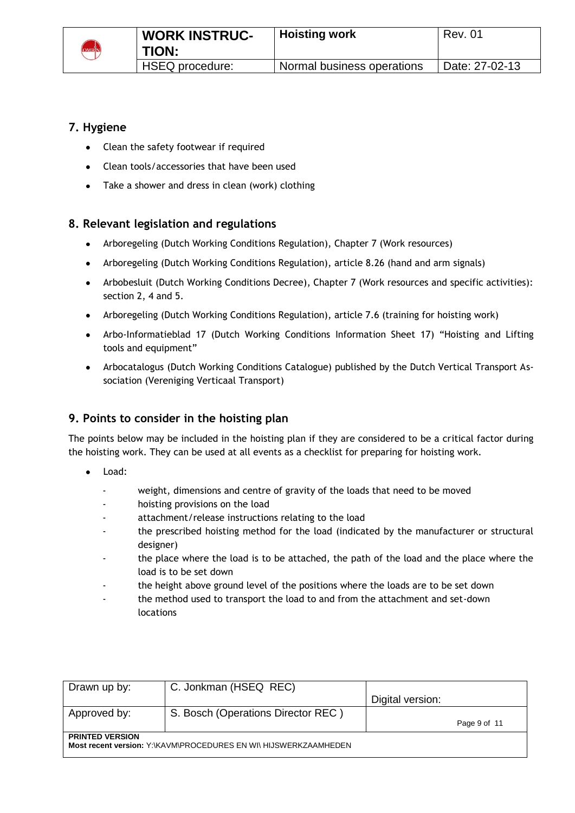

# **7. Hygiene**

- Clean the safety footwear if required
- Clean tools/accessories that have been used
- Take a shower and dress in clean (work) clothing

# **8. Relevant legislation and regulations**

- Arboregeling (Dutch Working Conditions Regulation), Chapter 7 (Work resources)
- Arboregeling (Dutch Working Conditions Regulation), article 8.26 (hand and arm signals)
- Arbobesluit (Dutch Working Conditions Decree), Chapter 7 (Work resources and specific activities): section 2, 4 and 5.
- Arboregeling (Dutch Working Conditions Regulation), article 7.6 (training for hoisting work)
- Arbo-Informatieblad 17 (Dutch Working Conditions Information Sheet 17) "Hoisting and Lifting tools and equipment"
- Arbocatalogus (Dutch Working Conditions Catalogue) published by the Dutch Vertical Transport Association (Vereniging Verticaal Transport)

# **9. Points to consider in the hoisting plan**

The points below may be included in the hoisting plan if they are considered to be a critical factor during the hoisting work. They can be used at all events as a checklist for preparing for hoisting work.

- Load:
	- weight, dimensions and centre of gravity of the loads that need to be moved
	- hoisting provisions on the load
	- attachment/release instructions relating to the load
	- the prescribed hoisting method for the load (indicated by the manufacturer or structural designer)
	- the place where the load is to be attached, the path of the load and the place where the load is to be set down
	- the height above ground level of the positions where the loads are to be set down
	- the method used to transport the load to and from the attachment and set-down locations

| Drawn up by:                                                                               | C. Jonkman (HSEQ REC)              | Digital version: |  |  |
|--------------------------------------------------------------------------------------------|------------------------------------|------------------|--|--|
| Approved by:                                                                               | S. Bosch (Operations Director REC) | Page 9 of 11     |  |  |
| <b>PRINTED VERSION</b><br>Most recent version: Y:\KAVM\PROCEDURES EN WI\ HIJSWERKZAAMHEDEN |                                    |                  |  |  |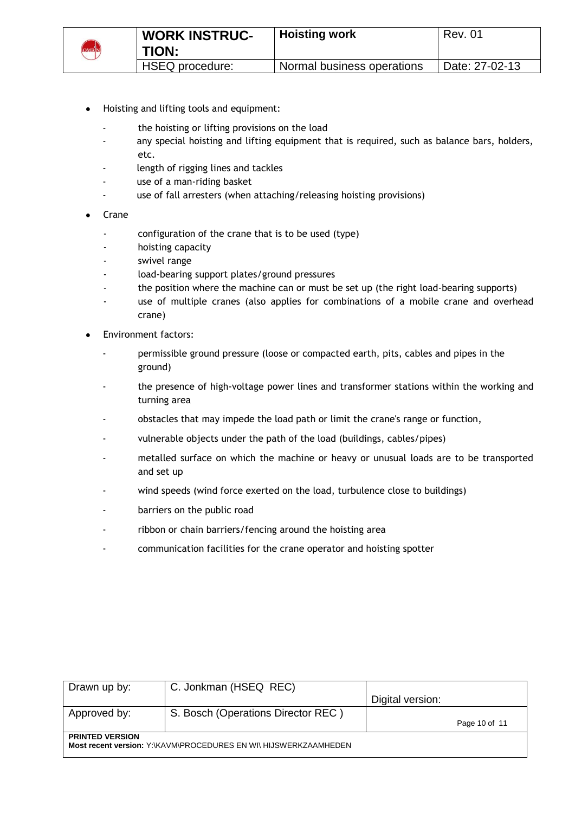

- Hoisting and lifting tools and equipment:
	- the hoisting or lifting provisions on the load
	- any special hoisting and lifting equipment that is required, such as balance bars, holders, etc.
	- length of rigging lines and tackles
	- use of a man-riding basket
	- use of fall arresters (when attaching/releasing hoisting provisions)
- Crane
	- configuration of the crane that is to be used (type)
	- hoisting capacity
	- swivel range
	- load-bearing support plates/ground pressures
	- the position where the machine can or must be set up (the right load-bearing supports)
	- use of multiple cranes (also applies for combinations of a mobile crane and overhead crane)
- Environment factors:
	- permissible ground pressure (loose or compacted earth, pits, cables and pipes in the ground)
	- the presence of high-voltage power lines and transformer stations within the working and turning area
	- obstacles that may impede the load path or limit the crane's range or function,
	- vulnerable objects under the path of the load (buildings, cables/pipes)
	- metalled surface on which the machine or heavy or unusual loads are to be transported and set up
	- wind speeds (wind force exerted on the load, turbulence close to buildings)
	- barriers on the public road
	- ribbon or chain barriers/fencing around the hoisting area
	- communication facilities for the crane operator and hoisting spotter

| Drawn up by:           | C. Jonkman (HSEQ REC)                                            |                  |               |
|------------------------|------------------------------------------------------------------|------------------|---------------|
|                        |                                                                  | Digital version: |               |
| Approved by:           | S. Bosch (Operations Director REC)                               |                  |               |
|                        |                                                                  |                  | Page 10 of 11 |
| <b>PRINTED VERSION</b> |                                                                  |                  |               |
|                        | Most recent version: Y:\KAVM\PROCEDURES EN WI\ HIJSWERKZAAMHEDEN |                  |               |